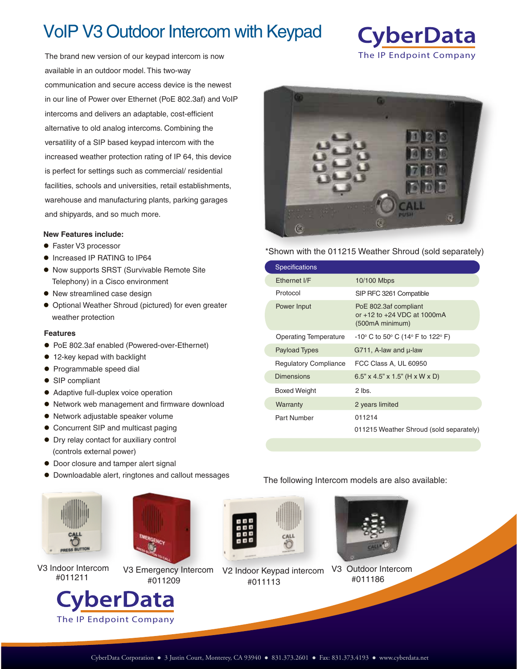# VoIP V3 Outdoor Intercom with Keypad

The brand new version of our keypad intercom is now available in an outdoor model. This two-way communication and secure access device is the newest in our line of Power over Ethernet (PoE 802.3af) and VoIP intercoms and delivers an adaptable, cost-efficient alternative to old analog intercoms. Combining the versatility of a SIP based keypad intercom with the increased weather protection rating of IP 64, this device is perfect for settings such as commercial/ residential facilities, schools and universities, retail establishments, warehouse and manufacturing plants, parking garages and shipyards, and so much more.

#### **New Features include:**

- Faster V3 processor
- $\bullet$  Increased IP RATING to IP64
- Now supports SRST (Survivable Remote Site Telephony) in a Cisco environment
- New streamlined case design
- $\bullet$  Optional Weather Shroud (pictured) for even greater weather protection

### **Features**

- PoE 802.3af enabled (Powered-over-Ethernet)
- 12-key kepad with backlight
- **Programmable speed dial**
- SIP compliant
- Adaptive full-duplex voice operation
- Network web management and firmware download
- Network adjustable speaker volume
- Concurrent SIP and multicast paging
- Dry relay contact for auxiliary control (controls external power)
- **Door closure and tamper alert signal**

The IP Endpoint Company

Downloadable alert, ringtones and callout messages





#011211 #011113 #011209 **CyberData** 



V3 Indoor Intercom V3 Emergency Intercom V2 Indoor Keypad intercom



#011186



**CyberData** 



\*Shown with the 011215 Weather Shroud (sold separately)

| <b>Specifications</b>        |                                                                             |
|------------------------------|-----------------------------------------------------------------------------|
| Fthernet I/F                 | 10/100 Mbps                                                                 |
| Protocol                     | SIP RFC 3261 Compatible                                                     |
| Power Input                  | PoE 802.3af compliant<br>or $+12$ to $+24$ VDC at 1000mA<br>(500mA minimum) |
| <b>Operating Temperature</b> | -10° C to 50° C (14° F to 122° F)                                           |
| <b>Payload Types</b>         | G711, A-law and $\mu$ -law                                                  |
| <b>Regulatory Compliance</b> | FCC Class A, UL 60950                                                       |
| <b>Dimensions</b>            | $6.5$ " x 4.5" x 1.5" (H x W x D)                                           |
| <b>Boxed Weight</b>          | $2$ lbs.                                                                    |
| Warranty                     | 2 years limited                                                             |
| Part Number                  | 011214<br>011215 Weather Shroud (sold separately)                           |

The following Intercom models are also available: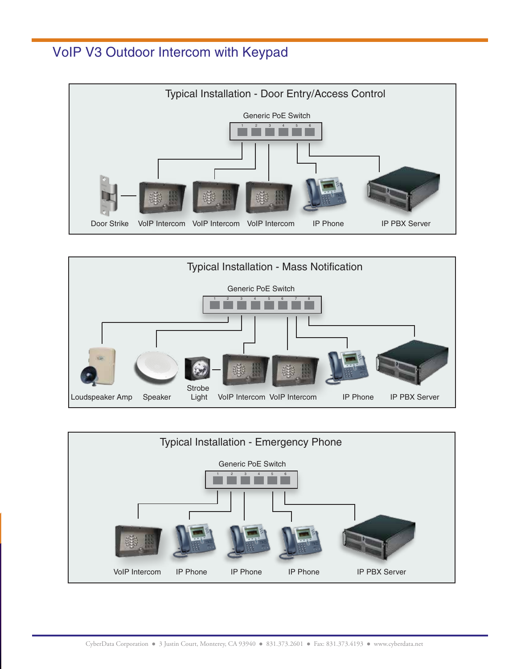### VoIP V3 Outdoor Intercom with Keypad